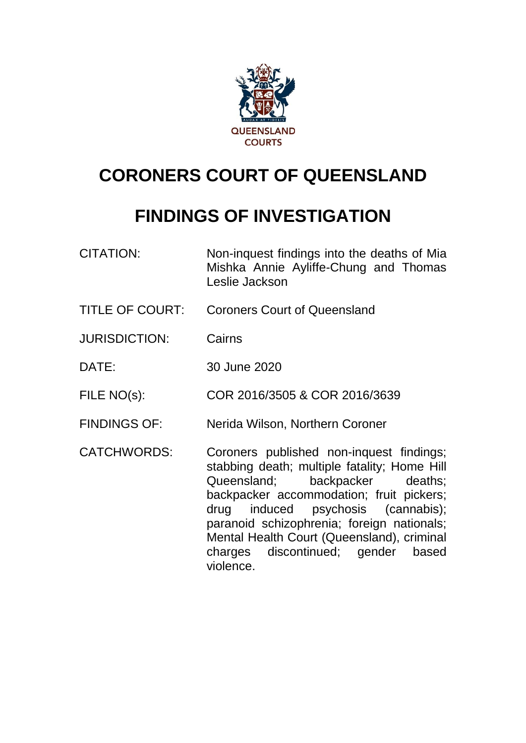

# **CORONERS COURT OF QUEENSLAND**

# **FINDINGS OF INVESTIGATION**

CITATION: Non-inquest findings into the deaths of Mia Mishka Annie Ayliffe-Chung and Thomas Leslie Jackson TITLE OF COURT: Coroners Court of Queensland JURISDICTION: Cairns DATE: 30 June 2020 FILE NO(s): COR 2016/3505 & COR 2016/3639 FINDINGS OF: Nerida Wilson, Northern Coroner CATCHWORDS: Coroners published non-inquest findings; stabbing death; multiple fatality; Home Hill Queensland; backpacker deaths; backpacker accommodation; fruit pickers; drug induced psychosis (cannabis); paranoid schizophrenia; foreign nationals; Mental Health Court (Queensland), criminal charges discontinued; gender based

violence.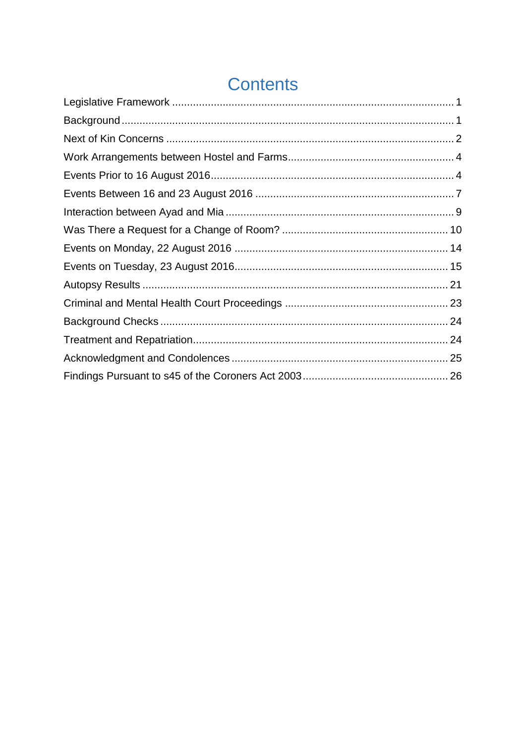# **Contents**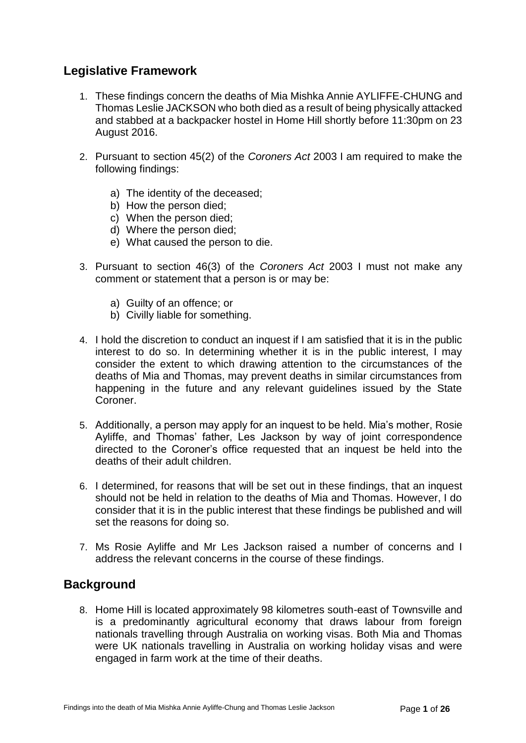# <span id="page-2-0"></span>**Legislative Framework**

- 1. These findings concern the deaths of Mia Mishka Annie AYLIFFE-CHUNG and Thomas Leslie JACKSON who both died as a result of being physically attacked and stabbed at a backpacker hostel in Home Hill shortly before 11:30pm on 23 August 2016.
- 2. Pursuant to section 45(2) of the *Coroners Act* 2003 I am required to make the following findings:
	- a) The identity of the deceased;
	- b) How the person died;
	- c) When the person died;
	- d) Where the person died;
	- e) What caused the person to die.
- 3. Pursuant to section 46(3) of the *Coroners Act* 2003 I must not make any comment or statement that a person is or may be:
	- a) Guilty of an offence; or
	- b) Civilly liable for something.
- 4. I hold the discretion to conduct an inquest if I am satisfied that it is in the public interest to do so. In determining whether it is in the public interest, I may consider the extent to which drawing attention to the circumstances of the deaths of Mia and Thomas, may prevent deaths in similar circumstances from happening in the future and any relevant guidelines issued by the State Coroner.
- 5. Additionally, a person may apply for an inquest to be held. Mia's mother, Rosie Ayliffe, and Thomas' father, Les Jackson by way of joint correspondence directed to the Coroner's office requested that an inquest be held into the deaths of their adult children.
- 6. I determined, for reasons that will be set out in these findings, that an inquest should not be held in relation to the deaths of Mia and Thomas. However, I do consider that it is in the public interest that these findings be published and will set the reasons for doing so.
- 7. Ms Rosie Ayliffe and Mr Les Jackson raised a number of concerns and I address the relevant concerns in the course of these findings.

# <span id="page-2-1"></span>**Background**

8. Home Hill is located approximately 98 kilometres south-east of Townsville and is a predominantly agricultural economy that draws labour from foreign nationals travelling through Australia on working visas. Both Mia and Thomas were UK nationals travelling in Australia on working holiday visas and were engaged in farm work at the time of their deaths.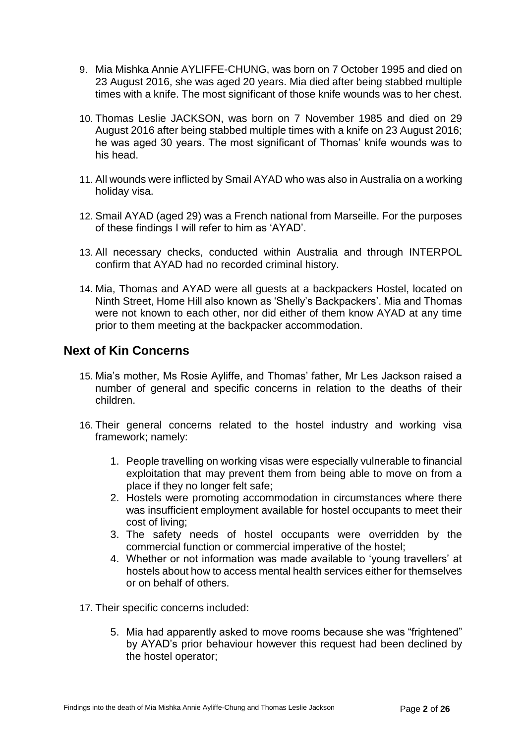- 9. Mia Mishka Annie AYLIFFE-CHUNG, was born on 7 October 1995 and died on 23 August 2016, she was aged 20 years. Mia died after being stabbed multiple times with a knife. The most significant of those knife wounds was to her chest.
- 10. Thomas Leslie JACKSON, was born on 7 November 1985 and died on 29 August 2016 after being stabbed multiple times with a knife on 23 August 2016; he was aged 30 years. The most significant of Thomas' knife wounds was to his head.
- 11. All wounds were inflicted by Smail AYAD who was also in Australia on a working holiday visa.
- 12. Smail AYAD (aged 29) was a French national from Marseille. For the purposes of these findings I will refer to him as 'AYAD'.
- 13. All necessary checks, conducted within Australia and through INTERPOL confirm that AYAD had no recorded criminal history.
- 14. Mia, Thomas and AYAD were all guests at a backpackers Hostel, located on Ninth Street, Home Hill also known as 'Shelly's Backpackers'. Mia and Thomas were not known to each other, nor did either of them know AYAD at any time prior to them meeting at the backpacker accommodation.

### <span id="page-3-0"></span>**Next of Kin Concerns**

- 15. Mia's mother, Ms Rosie Ayliffe, and Thomas' father, Mr Les Jackson raised a number of general and specific concerns in relation to the deaths of their children.
- 16. Their general concerns related to the hostel industry and working visa framework; namely:
	- 1. People travelling on working visas were especially vulnerable to financial exploitation that may prevent them from being able to move on from a place if they no longer felt safe;
	- 2. Hostels were promoting accommodation in circumstances where there was insufficient employment available for hostel occupants to meet their cost of living;
	- 3. The safety needs of hostel occupants were overridden by the commercial function or commercial imperative of the hostel;
	- 4. Whether or not information was made available to 'young travellers' at hostels about how to access mental health services either for themselves or on behalf of others.
- 17. Their specific concerns included:
	- 5. Mia had apparently asked to move rooms because she was "frightened" by AYAD's prior behaviour however this request had been declined by the hostel operator;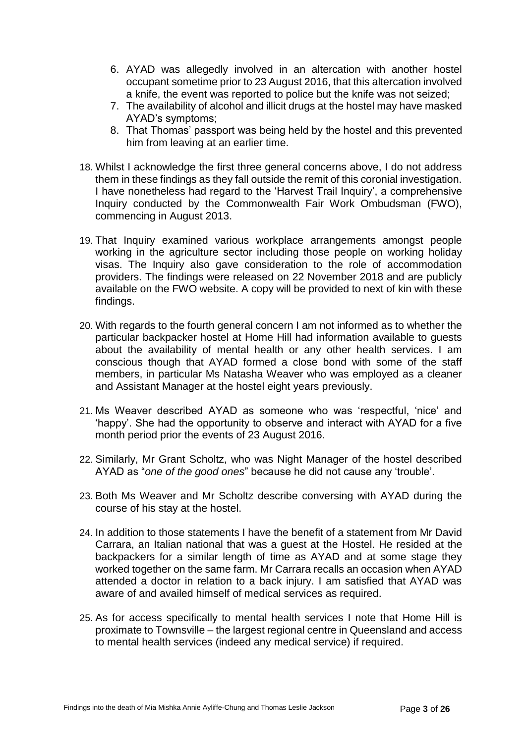- 6. AYAD was allegedly involved in an altercation with another hostel occupant sometime prior to 23 August 2016, that this altercation involved a knife, the event was reported to police but the knife was not seized;
- 7. The availability of alcohol and illicit drugs at the hostel may have masked AYAD's symptoms;
- 8. That Thomas' passport was being held by the hostel and this prevented him from leaving at an earlier time.
- 18. Whilst I acknowledge the first three general concerns above, I do not address them in these findings as they fall outside the remit of this coronial investigation. I have nonetheless had regard to the 'Harvest Trail Inquiry', a comprehensive Inquiry conducted by the Commonwealth Fair Work Ombudsman (FWO), commencing in August 2013.
- 19. That Inquiry examined various workplace arrangements amongst people working in the agriculture sector including those people on working holiday visas. The Inquiry also gave consideration to the role of accommodation providers. The findings were released on 22 November 2018 and are publicly available on the FWO website. A copy will be provided to next of kin with these findings.
- 20. With regards to the fourth general concern I am not informed as to whether the particular backpacker hostel at Home Hill had information available to guests about the availability of mental health or any other health services. I am conscious though that AYAD formed a close bond with some of the staff members, in particular Ms Natasha Weaver who was employed as a cleaner and Assistant Manager at the hostel eight years previously.
- 21. Ms Weaver described AYAD as someone who was 'respectful, 'nice' and 'happy'. She had the opportunity to observe and interact with AYAD for a five month period prior the events of 23 August 2016.
- 22. Similarly, Mr Grant Scholtz, who was Night Manager of the hostel described AYAD as "*one of the good ones*" because he did not cause any 'trouble'.
- 23. Both Ms Weaver and Mr Scholtz describe conversing with AYAD during the course of his stay at the hostel.
- 24. In addition to those statements I have the benefit of a statement from Mr David Carrara, an Italian national that was a guest at the Hostel. He resided at the backpackers for a similar length of time as AYAD and at some stage they worked together on the same farm. Mr Carrara recalls an occasion when AYAD attended a doctor in relation to a back injury. I am satisfied that AYAD was aware of and availed himself of medical services as required.
- 25. As for access specifically to mental health services I note that Home Hill is proximate to Townsville – the largest regional centre in Queensland and access to mental health services (indeed any medical service) if required.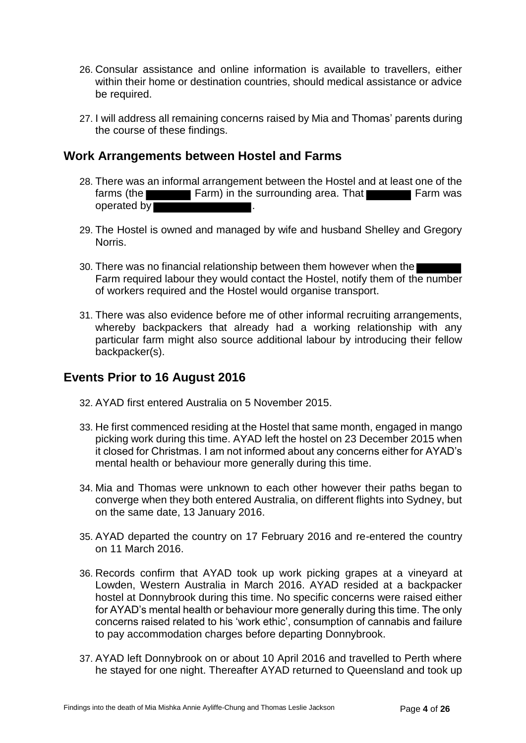- 26. Consular assistance and online information is available to travellers, either within their home or destination countries, should medical assistance or advice be required.
- 27. I will address all remaining concerns raised by Mia and Thomas' parents during the course of these findings.

### <span id="page-5-0"></span>**Work Arrangements between Hostel and Farms**

- 28. There was an informal arrangement between the Hostel and at least one of the farms (the Farm) in the surrounding area. That Farm was operated by .
- 29. The Hostel is owned and managed by wife and husband Shelley and Gregory Norris.
- 30. There was no financial relationship between them however when the Farm required labour they would contact the Hostel, notify them of the number of workers required and the Hostel would organise transport.
- 31. There was also evidence before me of other informal recruiting arrangements, whereby backpackers that already had a working relationship with any particular farm might also source additional labour by introducing their fellow backpacker(s).

# <span id="page-5-1"></span>**Events Prior to 16 August 2016**

- 32. AYAD first entered Australia on 5 November 2015.
- 33. He first commenced residing at the Hostel that same month, engaged in mango picking work during this time. AYAD left the hostel on 23 December 2015 when it closed for Christmas. I am not informed about any concerns either for AYAD's mental health or behaviour more generally during this time.
- 34. Mia and Thomas were unknown to each other however their paths began to converge when they both entered Australia, on different flights into Sydney, but on the same date, 13 January 2016.
- 35. AYAD departed the country on 17 February 2016 and re-entered the country on 11 March 2016.
- 36. Records confirm that AYAD took up work picking grapes at a vineyard at Lowden, Western Australia in March 2016. AYAD resided at a backpacker hostel at Donnybrook during this time. No specific concerns were raised either for AYAD's mental health or behaviour more generally during this time. The only concerns raised related to his 'work ethic', consumption of cannabis and failure to pay accommodation charges before departing Donnybrook.
- 37. AYAD left Donnybrook on or about 10 April 2016 and travelled to Perth where he stayed for one night. Thereafter AYAD returned to Queensland and took up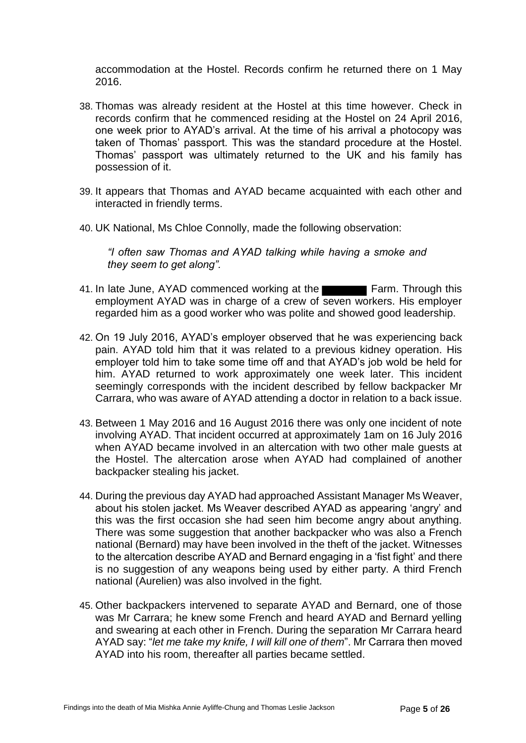accommodation at the Hostel. Records confirm he returned there on 1 May 2016.

- 38. Thomas was already resident at the Hostel at this time however. Check in records confirm that he commenced residing at the Hostel on 24 April 2016, one week prior to AYAD's arrival. At the time of his arrival a photocopy was taken of Thomas' passport. This was the standard procedure at the Hostel. Thomas' passport was ultimately returned to the UK and his family has possession of it.
- 39. It appears that Thomas and AYAD became acquainted with each other and interacted in friendly terms.
- 40. UK National, Ms Chloe Connolly, made the following observation:

*"I often saw Thomas and AYAD talking while having a smoke and they seem to get along".*

- 41. In late June, AYAD commenced working at the Farm. Through this employment AYAD was in charge of a crew of seven workers. His employer regarded him as a good worker who was polite and showed good leadership.
- 42. On 19 July 2016, AYAD's employer observed that he was experiencing back pain. AYAD told him that it was related to a previous kidney operation. His employer told him to take some time off and that AYAD's job wold be held for him. AYAD returned to work approximately one week later. This incident seemingly corresponds with the incident described by fellow backpacker Mr Carrara, who was aware of AYAD attending a doctor in relation to a back issue.
- 43. Between 1 May 2016 and 16 August 2016 there was only one incident of note involving AYAD. That incident occurred at approximately 1am on 16 July 2016 when AYAD became involved in an altercation with two other male guests at the Hostel. The altercation arose when AYAD had complained of another backpacker stealing his jacket.
- 44. During the previous day AYAD had approached Assistant Manager Ms Weaver, about his stolen jacket. Ms Weaver described AYAD as appearing 'angry' and this was the first occasion she had seen him become angry about anything. There was some suggestion that another backpacker who was also a French national (Bernard) may have been involved in the theft of the jacket. Witnesses to the altercation describe AYAD and Bernard engaging in a 'fist fight' and there is no suggestion of any weapons being used by either party. A third French national (Aurelien) was also involved in the fight.
- 45. Other backpackers intervened to separate AYAD and Bernard, one of those was Mr Carrara; he knew some French and heard AYAD and Bernard yelling and swearing at each other in French. During the separation Mr Carrara heard AYAD say: "*let me take my knife, I will kill one of them*". Mr Carrara then moved AYAD into his room, thereafter all parties became settled.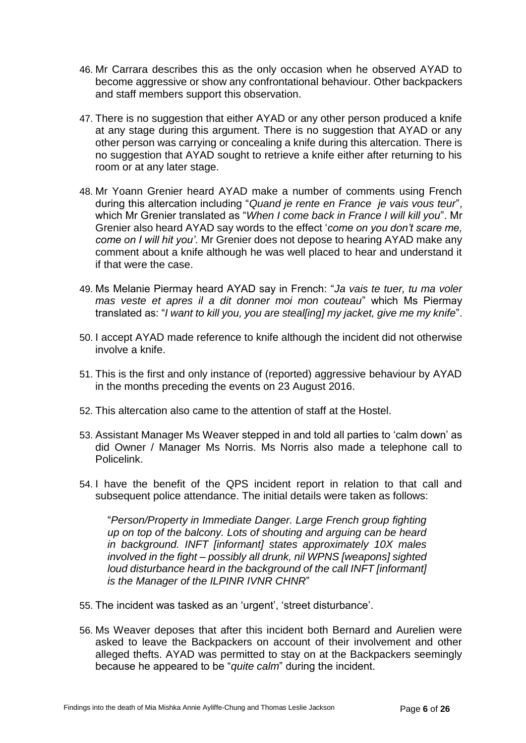- 46. Mr Carrara describes this as the only occasion when he observed AYAD to become aggressive or show any confrontational behaviour. Other backpackers and staff members support this observation.
- 47. There is no suggestion that either AYAD or any other person produced a knife at any stage during this argument. There is no suggestion that AYAD or any other person was carrying or concealing a knife during this altercation. There is no suggestion that AYAD sought to retrieve a knife either after returning to his room or at any later stage.
- 48. Mr Yoann Grenier heard AYAD make a number of comments using French during this altercation including "*Quand je rente en France je vais vous teur*", which Mr Grenier translated as "*When I come back in France I will kill you*". Mr Grenier also heard AYAD say words to the effect '*come on you don't scare me, come on I will hit you'*. Mr Grenier does not depose to hearing AYAD make any comment about a knife although he was well placed to hear and understand it if that were the case.
- 49. Ms Melanie Piermay heard AYAD say in French: "*Ja vais te tuer, tu ma voler mas veste et apres il a dit donner moi mon couteau*" which Ms Piermay translated as: "*I want to kill you, you are steal[ing] my jacket, give me my knife*".
- 50. I accept AYAD made reference to knife although the incident did not otherwise involve a knife.
- 51. This is the first and only instance of (reported) aggressive behaviour by AYAD in the months preceding the events on 23 August 2016.
- 52. This altercation also came to the attention of staff at the Hostel.
- 53. Assistant Manager Ms Weaver stepped in and told all parties to 'calm down' as did Owner / Manager Ms Norris. Ms Norris also made a telephone call to Policelink.
- 54. I have the benefit of the QPS incident report in relation to that call and subsequent police attendance. The initial details were taken as follows:

"*Person/Property in Immediate Danger. Large French group fighting up on top of the balcony. Lots of shouting and arguing can be heard in background. INFT [informant] states approximately 10X males involved in the fight – possibly all drunk, nil WPNS [weapons] sighted loud disturbance heard in the background of the call INFT [informant] is the Manager of the ILPINR IVNR CHNR*"

- 55. The incident was tasked as an 'urgent', 'street disturbance'.
- 56. Ms Weaver deposes that after this incident both Bernard and Aurelien were asked to leave the Backpackers on account of their involvement and other alleged thefts. AYAD was permitted to stay on at the Backpackers seemingly because he appeared to be "*quite calm*" during the incident.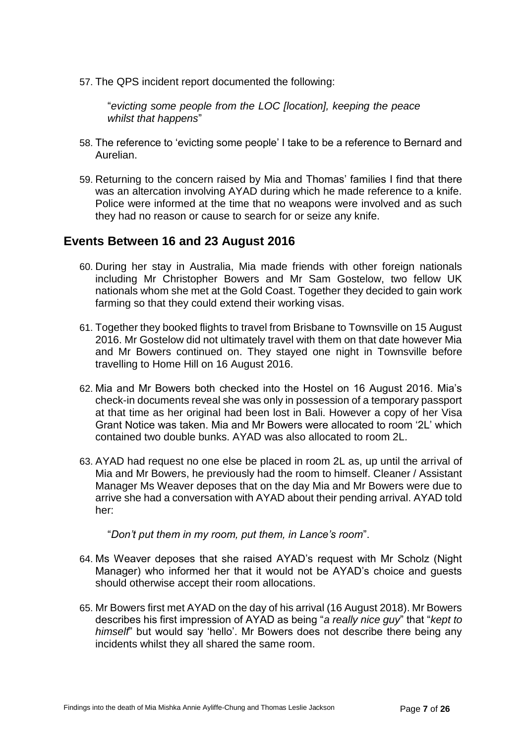57. The QPS incident report documented the following:

"*evicting some people from the LOC [location], keeping the peace whilst that happens*"

- 58. The reference to 'evicting some people' I take to be a reference to Bernard and Aurelian.
- 59. Returning to the concern raised by Mia and Thomas' families I find that there was an altercation involving AYAD during which he made reference to a knife. Police were informed at the time that no weapons were involved and as such they had no reason or cause to search for or seize any knife.

#### <span id="page-8-0"></span>**Events Between 16 and 23 August 2016**

- 60. During her stay in Australia, Mia made friends with other foreign nationals including Mr Christopher Bowers and Mr Sam Gostelow, two fellow UK nationals whom she met at the Gold Coast. Together they decided to gain work farming so that they could extend their working visas.
- 61. Together they booked flights to travel from Brisbane to Townsville on 15 August 2016. Mr Gostelow did not ultimately travel with them on that date however Mia and Mr Bowers continued on. They stayed one night in Townsville before travelling to Home Hill on 16 August 2016.
- 62. Mia and Mr Bowers both checked into the Hostel on 16 August 2016. Mia's check-in documents reveal she was only in possession of a temporary passport at that time as her original had been lost in Bali. However a copy of her Visa Grant Notice was taken. Mia and Mr Bowers were allocated to room '2L' which contained two double bunks. AYAD was also allocated to room 2L.
- 63. AYAD had request no one else be placed in room 2L as, up until the arrival of Mia and Mr Bowers, he previously had the room to himself. Cleaner / Assistant Manager Ms Weaver deposes that on the day Mia and Mr Bowers were due to arrive she had a conversation with AYAD about their pending arrival. AYAD told her:

"*Don't put them in my room, put them, in Lance's room*".

- 64. Ms Weaver deposes that she raised AYAD's request with Mr Scholz (Night Manager) who informed her that it would not be AYAD's choice and guests should otherwise accept their room allocations.
- 65. Mr Bowers first met AYAD on the day of his arrival (16 August 2018). Mr Bowers describes his first impression of AYAD as being "*a really nice guy*" that "*kept to himself*" but would say 'hello'. Mr Bowers does not describe there being any incidents whilst they all shared the same room.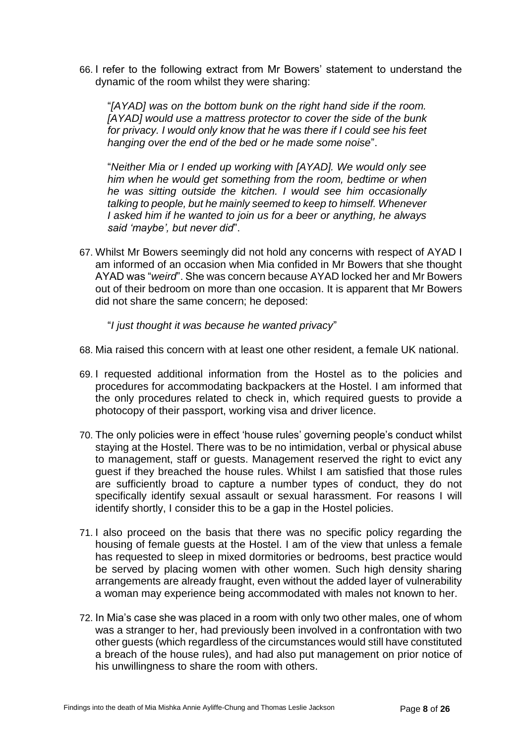66. I refer to the following extract from Mr Bowers' statement to understand the dynamic of the room whilst they were sharing:

"*[AYAD] was on the bottom bunk on the right hand side if the room. [AYAD] would use a mattress protector to cover the side of the bunk for privacy. I would only know that he was there if I could see his feet hanging over the end of the bed or he made some noise*".

"*Neither Mia or I ended up working with [AYAD]. We would only see him when he would get something from the room, bedtime or when he was sitting outside the kitchen. I would see him occasionally talking to people, but he mainly seemed to keep to himself. Whenever I asked him if he wanted to join us for a beer or anything, he always said 'maybe', but never did*".

67. Whilst Mr Bowers seemingly did not hold any concerns with respect of AYAD I am informed of an occasion when Mia confided in Mr Bowers that she thought AYAD was "*weird*". She was concern because AYAD locked her and Mr Bowers out of their bedroom on more than one occasion. It is apparent that Mr Bowers did not share the same concern; he deposed:

"*I just thought it was because he wanted privacy*"

- 68. Mia raised this concern with at least one other resident, a female UK national.
- 69. I requested additional information from the Hostel as to the policies and procedures for accommodating backpackers at the Hostel. I am informed that the only procedures related to check in, which required guests to provide a photocopy of their passport, working visa and driver licence.
- 70. The only policies were in effect 'house rules' governing people's conduct whilst staying at the Hostel. There was to be no intimidation, verbal or physical abuse to management, staff or guests. Management reserved the right to evict any guest if they breached the house rules. Whilst I am satisfied that those rules are sufficiently broad to capture a number types of conduct, they do not specifically identify sexual assault or sexual harassment. For reasons I will identify shortly, I consider this to be a gap in the Hostel policies.
- 71. I also proceed on the basis that there was no specific policy regarding the housing of female guests at the Hostel. I am of the view that unless a female has requested to sleep in mixed dormitories or bedrooms, best practice would be served by placing women with other women. Such high density sharing arrangements are already fraught, even without the added layer of vulnerability a woman may experience being accommodated with males not known to her.
- 72. In Mia's case she was placed in a room with only two other males, one of whom was a stranger to her, had previously been involved in a confrontation with two other guests (which regardless of the circumstances would still have constituted a breach of the house rules), and had also put management on prior notice of his unwillingness to share the room with others.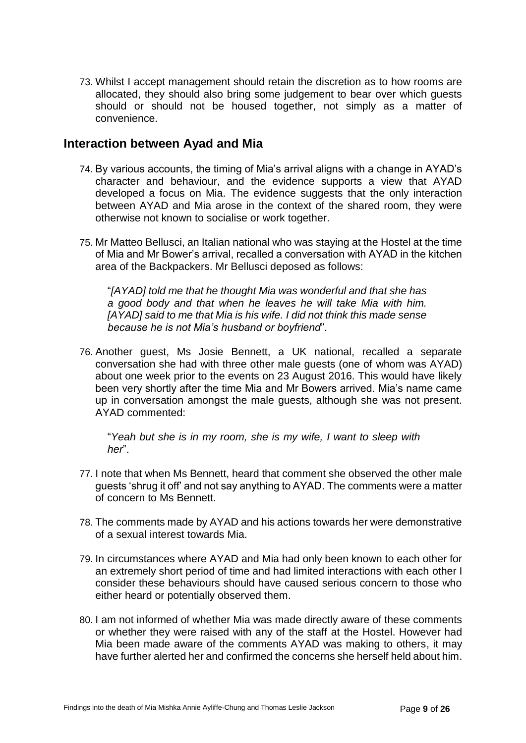73. Whilst I accept management should retain the discretion as to how rooms are allocated, they should also bring some judgement to bear over which guests should or should not be housed together, not simply as a matter of convenience.

#### <span id="page-10-0"></span>**Interaction between Ayad and Mia**

- 74. By various accounts, the timing of Mia's arrival aligns with a change in AYAD's character and behaviour, and the evidence supports a view that AYAD developed a focus on Mia. The evidence suggests that the only interaction between AYAD and Mia arose in the context of the shared room, they were otherwise not known to socialise or work together.
- 75. Mr Matteo Bellusci, an Italian national who was staying at the Hostel at the time of Mia and Mr Bower's arrival, recalled a conversation with AYAD in the kitchen area of the Backpackers. Mr Bellusci deposed as follows:

"*[AYAD] told me that he thought Mia was wonderful and that she has a good body and that when he leaves he will take Mia with him. [AYAD] said to me that Mia is his wife. I did not think this made sense because he is not Mia's husband or boyfriend*".

76. Another guest, Ms Josie Bennett, a UK national, recalled a separate conversation she had with three other male guests (one of whom was AYAD) about one week prior to the events on 23 August 2016. This would have likely been very shortly after the time Mia and Mr Bowers arrived. Mia's name came up in conversation amongst the male guests, although she was not present. AYAD commented:

"*Yeah but she is in my room, she is my wife, I want to sleep with her*".

- 77. I note that when Ms Bennett, heard that comment she observed the other male guests 'shrug it off' and not say anything to AYAD. The comments were a matter of concern to Ms Bennett.
- 78. The comments made by AYAD and his actions towards her were demonstrative of a sexual interest towards Mia.
- 79. In circumstances where AYAD and Mia had only been known to each other for an extremely short period of time and had limited interactions with each other I consider these behaviours should have caused serious concern to those who either heard or potentially observed them.
- 80. I am not informed of whether Mia was made directly aware of these comments or whether they were raised with any of the staff at the Hostel. However had Mia been made aware of the comments AYAD was making to others, it may have further alerted her and confirmed the concerns she herself held about him.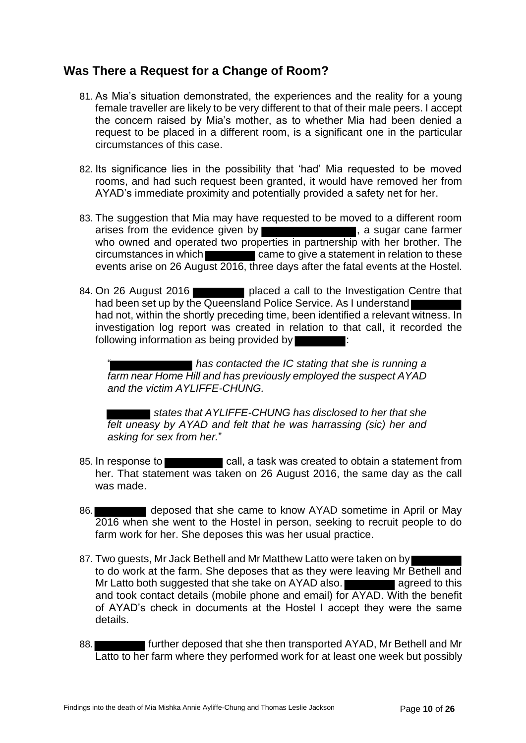# <span id="page-11-0"></span>**Was There a Request for a Change of Room?**

- 81. As Mia's situation demonstrated, the experiences and the reality for a young female traveller are likely to be very different to that of their male peers. I accept the concern raised by Mia's mother, as to whether Mia had been denied a request to be placed in a different room, is a significant one in the particular circumstances of this case.
- 82. Its significance lies in the possibility that 'had' Mia requested to be moved rooms, and had such request been granted, it would have removed her from AYAD's immediate proximity and potentially provided a safety net for her.
- 83. The suggestion that Mia may have requested to be moved to a different room arises from the evidence given by , a sugar cane farmer who owned and operated two properties in partnership with her brother. The circumstances in which came to give a statement in relation to these events arise on 26 August 2016, three days after the fatal events at the Hostel.
- 84. On 26 August 2016 **placed** a call to the Investigation Centre that had been set up by the Queensland Police Service. As I understand had not, within the shortly preceding time, been identified a relevant witness. In investigation log report was created in relation to that call, it recorded the following information as being provided by

■ has contacted the IC stating that she is running a *farm near Home Hill and has previously employed the suspect AYAD and the victim AYLIFFE-CHUNG.* 

 *states that AYLIFFE-CHUNG has disclosed to her that she felt uneasy by AYAD and felt that he was harrassing (sic) her and asking for sex from her.*"

- 85. In response to call, a task was created to obtain a statement from her. That statement was taken on 26 August 2016, the same day as the call was made.
- 86. **deposed that she came to know AYAD sometime in April or May** 2016 when she went to the Hostel in person, seeking to recruit people to do farm work for her. She deposes this was her usual practice.
- 87. Two guests, Mr Jack Bethell and Mr Matthew Latto were taken on by to do work at the farm. She deposes that as they were leaving Mr Bethell and Mr Latto both suggested that she take on AYAD also. and took contact details (mobile phone and email) for AYAD. With the benefit of AYAD's check in documents at the Hostel I accept they were the same details.
- 88. **Figure 1** further deposed that she then transported AYAD, Mr Bethell and Mr Latto to her farm where they performed work for at least one week but possibly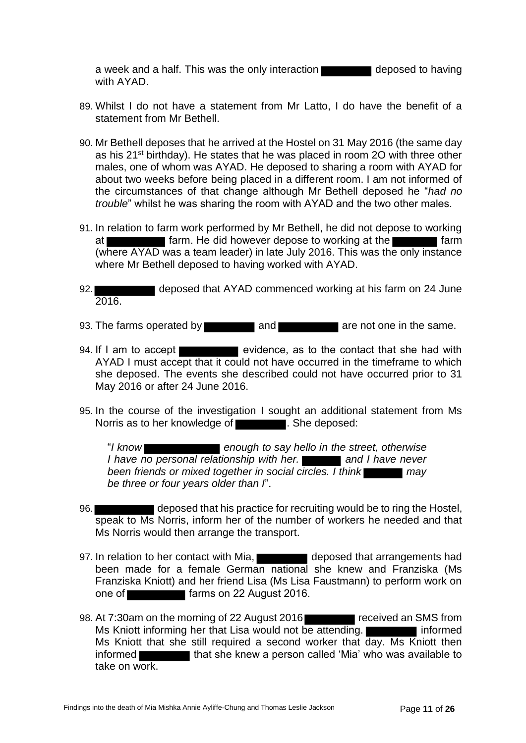a week and a half. This was the only interaction deposed to having with AYAD.

- 89. Whilst I do not have a statement from Mr Latto, I do have the benefit of a statement from Mr Bethell.
- 90. Mr Bethell deposes that he arrived at the Hostel on 31 May 2016 (the same day as his 21st birthday). He states that he was placed in room 2O with three other males, one of whom was AYAD. He deposed to sharing a room with AYAD for about two weeks before being placed in a different room. I am not informed of the circumstances of that change although Mr Bethell deposed he "*had no trouble*" whilst he was sharing the room with AYAD and the two other males.
- 91. In relation to farm work performed by Mr Bethell, he did not depose to working at **farm.** He did however depose to working at the **farm** farm (where AYAD was a team leader) in late July 2016. This was the only instance where Mr Bethell deposed to having worked with AYAD.
- 92. **deposed that AYAD commenced working at his farm on 24 June** 2016.
- 93. The farms operated by and and are not one in the same.
- 94. If I am to accept evidence, as to the contact that she had with AYAD I must accept that it could not have occurred in the timeframe to which she deposed. The events she described could not have occurred prior to 31 May 2016 or after 24 June 2016.
- 95. In the course of the investigation I sought an additional statement from Ms Norris as to her knowledge of **Election 2.** She deposed:

"*I know enough to say hello in the street, otherwise I have no personal relationship with her.* and *I have never been friends or mixed together in social circles. I think* may *be three or four years older than I*".

- 96. deposed that his practice for recruiting would be to ring the Hostel, speak to Ms Norris, inform her of the number of workers he needed and that Ms Norris would then arrange the transport.
- 97. In relation to her contact with Mia, deposed that arrangements had been made for a female German national she knew and Franziska (Ms Franziska Kniott) and her friend Lisa (Ms Lisa Faustmann) to perform work on one of **farms** on 22 August 2016.
- 98. At 7:30am on the morning of 22 August 2016 Ms Kniott informing her that Lisa would not be attending. Ms Kniott that she still required a second worker that day. Ms Kniott then informed **that she knew a person called 'Mia' who was available to** take on work.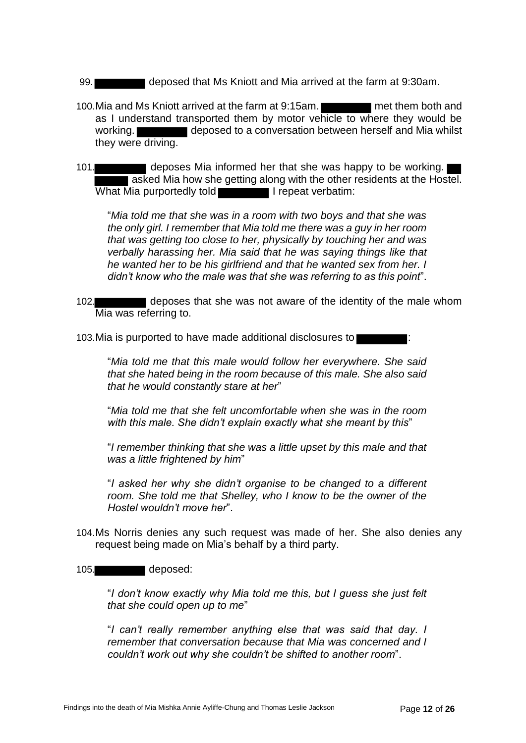- 99. deposed that Ms Kniott and Mia arrived at the farm at 9:30am.
- 100.Mia and Ms Kniott arrived at the farm at 9:15am. met them both and as I understand transported them by motor vehicle to where they would be working. **deposed to a conversation between herself and Mia whilst** they were driving.
- 101. deposes Mia informed her that she was happy to be working. asked Mia how she getting along with the other residents at the Hostel. What Mia purportedly told **I was a strategied in Figure** 1 repeat verbatim:

"*Mia told me that she was in a room with two boys and that she was the only girl. I remember that Mia told me there was a guy in her room that was getting too close to her, physically by touching her and was verbally harassing her. Mia said that he was saying things like that he wanted her to be his girlfriend and that he wanted sex from her. I didn't know who the male was that she was referring to as this point*".

102. deposes that she was not aware of the identity of the male whom Mia was referring to.

103. Mia is purported to have made additional disclosures to

"*Mia told me that this male would follow her everywhere. She said that she hated being in the room because of this male. She also said that he would constantly stare at her*"

"*Mia told me that she felt uncomfortable when she was in the room with this male. She didn't explain exactly what she meant by this*"

"*I remember thinking that she was a little upset by this male and that was a little frightened by him*"

"*I asked her why she didn't organise to be changed to a different room. She told me that Shelley, who I know to be the owner of the Hostel wouldn't move her*".

104.Ms Norris denies any such request was made of her. She also denies any request being made on Mia's behalf by a third party.

#### 105. deposed:

"*I don't know exactly why Mia told me this, but I guess she just felt that she could open up to me*"

"*I can't really remember anything else that was said that day. I remember that conversation because that Mia was concerned and I couldn't work out why she couldn't be shifted to another room*".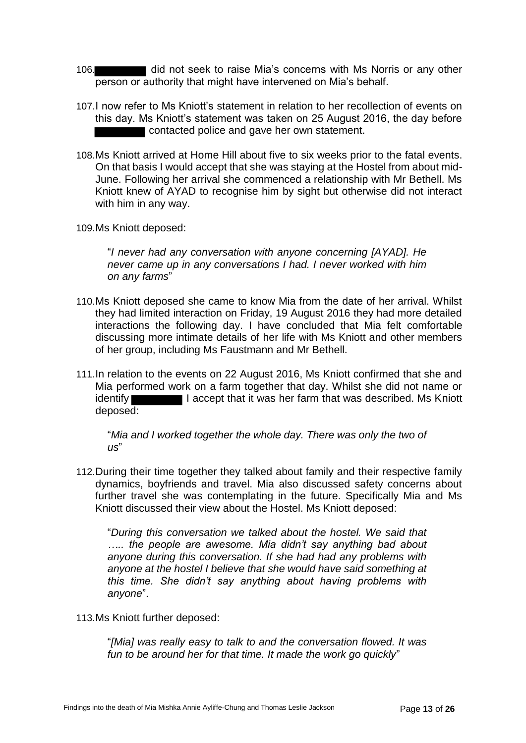- 106. **did not seek to raise Mia's concerns with Ms Norris or any other** person or authority that might have intervened on Mia's behalf.
- 107.I now refer to Ms Kniott's statement in relation to her recollection of events on this day. Ms Kniott's statement was taken on 25 August 2016, the day before contacted police and gave her own statement.
- 108.Ms Kniott arrived at Home Hill about five to six weeks prior to the fatal events. On that basis I would accept that she was staying at the Hostel from about mid-June. Following her arrival she commenced a relationship with Mr Bethell. Ms Kniott knew of AYAD to recognise him by sight but otherwise did not interact with him in any way.
- 109.Ms Kniott deposed:

"*I never had any conversation with anyone concerning [AYAD]. He never came up in any conversations I had. I never worked with him on any farms*"

- 110.Ms Kniott deposed she came to know Mia from the date of her arrival. Whilst they had limited interaction on Friday, 19 August 2016 they had more detailed interactions the following day. I have concluded that Mia felt comfortable discussing more intimate details of her life with Ms Kniott and other members of her group, including Ms Faustmann and Mr Bethell.
- 111.In relation to the events on 22 August 2016, Ms Kniott confirmed that she and Mia performed work on a farm together that day. Whilst she did not name or identify **I accept that it was her farm that was described. Ms Kniott** deposed:

"*Mia and I worked together the whole day. There was only the two of us*"

112.During their time together they talked about family and their respective family dynamics, boyfriends and travel. Mia also discussed safety concerns about further travel she was contemplating in the future. Specifically Mia and Ms Kniott discussed their view about the Hostel. Ms Kniott deposed:

"*During this conversation we talked about the hostel. We said that ….. the people are awesome. Mia didn't say anything bad about anyone during this conversation. If she had had any problems with anyone at the hostel I believe that she would have said something at this time. She didn't say anything about having problems with anyone*".

113.Ms Kniott further deposed:

"*[Mia] was really easy to talk to and the conversation flowed. It was fun to be around her for that time. It made the work go quickly*"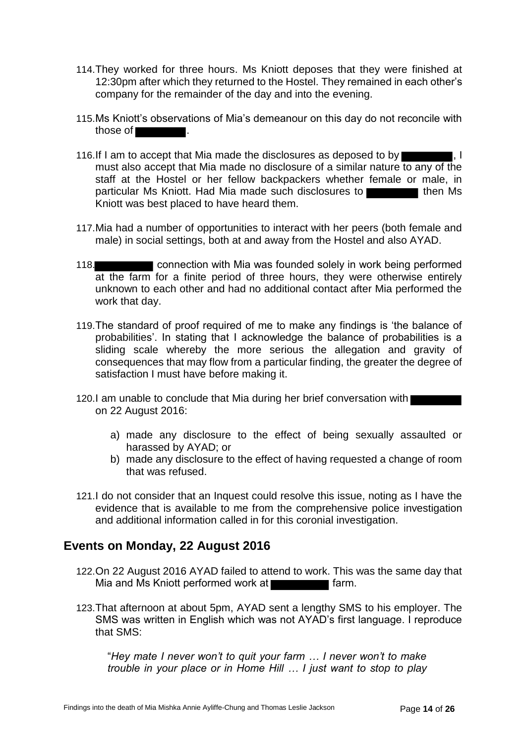- 114.They worked for three hours. Ms Kniott deposes that they were finished at 12:30pm after which they returned to the Hostel. They remained in each other's company for the remainder of the day and into the evening.
- 115.Ms Kniott's observations of Mia's demeanour on this day do not reconcile with those of .
- 116.If I am to accept that Mia made the disclosures as deposed to by  $\blacksquare$ , I must also accept that Mia made no disclosure of a similar nature to any of the staff at the Hostel or her fellow backpackers whether female or male, in particular Ms Kniott. Had Mia made such disclosures to Kniott was best placed to have heard them.
- 117.Mia had a number of opportunities to interact with her peers (both female and male) in social settings, both at and away from the Hostel and also AYAD.
- 118. connection with Mia was founded solely in work being performed at the farm for a finite period of three hours, they were otherwise entirely unknown to each other and had no additional contact after Mia performed the work that day.
- 119.The standard of proof required of me to make any findings is 'the balance of probabilities'. In stating that I acknowledge the balance of probabilities is a sliding scale whereby the more serious the allegation and gravity of consequences that may flow from a particular finding, the greater the degree of satisfaction I must have before making it.
- 120.I am unable to conclude that Mia during her brief conversation with on 22 August 2016:
	- a) made any disclosure to the effect of being sexually assaulted or harassed by AYAD; or
	- b) made any disclosure to the effect of having requested a change of room that was refused.
- 121.I do not consider that an Inquest could resolve this issue, noting as I have the evidence that is available to me from the comprehensive police investigation and additional information called in for this coronial investigation.

# <span id="page-15-0"></span>**Events on Monday, 22 August 2016**

- 122.On 22 August 2016 AYAD failed to attend to work. This was the same day that Mia and Ms Kniott performed work at **Fact 10** farm.
- 123.That afternoon at about 5pm, AYAD sent a lengthy SMS to his employer. The SMS was written in English which was not AYAD's first language. I reproduce that SMS:

"*Hey mate I never won't to quit your farm … I never won't to make trouble in your place or in Home Hill … I just want to stop to play*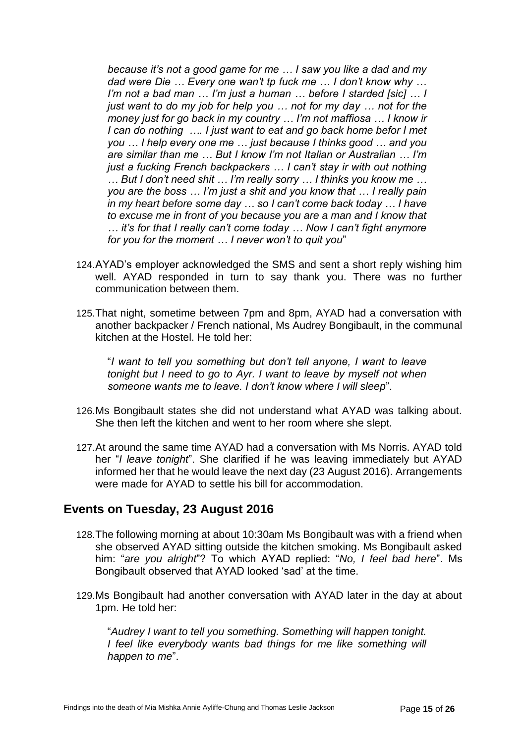*because it's not a good game for me … I saw you like a dad and my dad were Die … Every one wan't tp fuck me … I don't know why … I'm not a bad man … I'm just a human … before I starded [sic] … I just want to do my job for help you … not for my day … not for the money just for go back in my country … I'm not maffiosa … I know ir I can do nothing …. I just want to eat and go back home befor I met you … I help every one me … just because I thinks good … and you are similar than me … But I know I'm not Italian or Australian … I'm just a fucking French backpackers … I can't stay ir with out nothing … But I don't need shit … I'm really sorry … I thinks you know me … you are the boss … I'm just a shit and you know that … I really pain in my heart before some day … so I can't come back today … I have to excuse me in front of you because you are a man and I know that … it's for that I really can't come today … Now I can't fight anymore for you for the moment … I never won't to quit you*"

- 124.AYAD's employer acknowledged the SMS and sent a short reply wishing him well. AYAD responded in turn to say thank you. There was no further communication between them.
- 125.That night, sometime between 7pm and 8pm, AYAD had a conversation with another backpacker / French national, Ms Audrey Bongibault, in the communal kitchen at the Hostel. He told her:

"*I want to tell you something but don't tell anyone, I want to leave tonight but I need to go to Ayr. I want to leave by myself not when someone wants me to leave. I don't know where I will sleep*".

- 126.Ms Bongibault states she did not understand what AYAD was talking about. She then left the kitchen and went to her room where she slept.
- 127.At around the same time AYAD had a conversation with Ms Norris. AYAD told her "*I leave tonight*". She clarified if he was leaving immediately but AYAD informed her that he would leave the next day (23 August 2016). Arrangements were made for AYAD to settle his bill for accommodation.

# <span id="page-16-0"></span>**Events on Tuesday, 23 August 2016**

- 128.The following morning at about 10:30am Ms Bongibault was with a friend when she observed AYAD sitting outside the kitchen smoking. Ms Bongibault asked him: "*are you alright*"? To which AYAD replied: "*No, I feel bad here*". Ms Bongibault observed that AYAD looked 'sad' at the time.
- 129.Ms Bongibault had another conversation with AYAD later in the day at about 1pm. He told her:

"*Audrey I want to tell you something. Something will happen tonight. I feel like everybody wants bad things for me like something will happen to me*".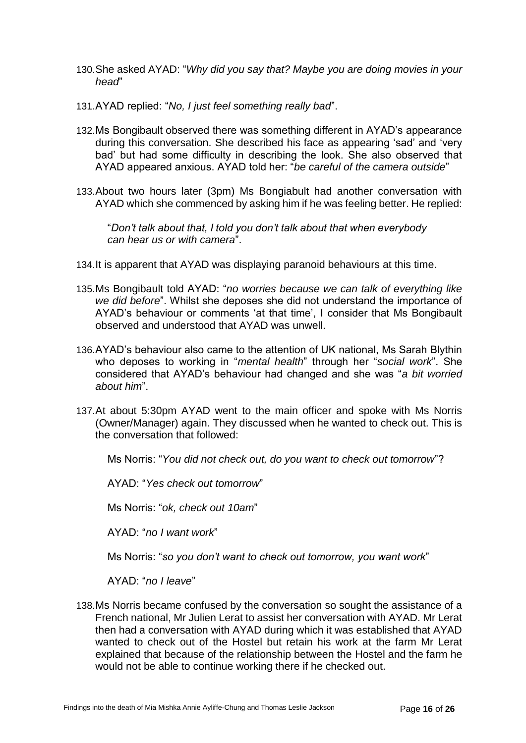- 130.She asked AYAD: "*Why did you say that? Maybe you are doing movies in your head*"
- 131.AYAD replied: "*No, I just feel something really bad*".
- 132.Ms Bongibault observed there was something different in AYAD's appearance during this conversation. She described his face as appearing 'sad' and 'very bad' but had some difficulty in describing the look. She also observed that AYAD appeared anxious. AYAD told her: "*be careful of the camera outside*"
- 133.About two hours later (3pm) Ms Bongiabult had another conversation with AYAD which she commenced by asking him if he was feeling better. He replied:

"*Don't talk about that, I told you don't talk about that when everybody can hear us or with camera*".

- 134.It is apparent that AYAD was displaying paranoid behaviours at this time.
- 135.Ms Bongibault told AYAD: "*no worries because we can talk of everything like we did before*". Whilst she deposes she did not understand the importance of AYAD's behaviour or comments 'at that time', I consider that Ms Bongibault observed and understood that AYAD was unwell.
- 136.AYAD's behaviour also came to the attention of UK national, Ms Sarah Blythin who deposes to working in "*mental health*" through her "*social work*". She considered that AYAD's behaviour had changed and she was "*a bit worried about him*".
- 137.At about 5:30pm AYAD went to the main officer and spoke with Ms Norris (Owner/Manager) again. They discussed when he wanted to check out. This is the conversation that followed:
	- Ms Norris: "*You did not check out, do you want to check out tomorrow*"?
	- AYAD: "*Yes check out tomorrow*"

Ms Norris: "*ok, check out 10am*"

AYAD: "*no I want work*"

Ms Norris: "*so you don't want to check out tomorrow, you want work*"

AYAD: "*no I leave*"

138.Ms Norris became confused by the conversation so sought the assistance of a French national, Mr Julien Lerat to assist her conversation with AYAD. Mr Lerat then had a conversation with AYAD during which it was established that AYAD wanted to check out of the Hostel but retain his work at the farm Mr Lerat explained that because of the relationship between the Hostel and the farm he would not be able to continue working there if he checked out.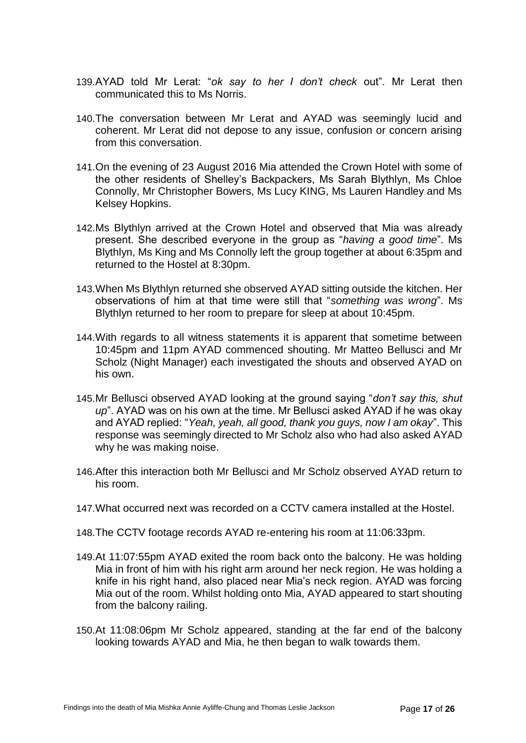- 139.AYAD told Mr Lerat: "*ok say to her I don't check* out". Mr Lerat then communicated this to Ms Norris.
- 140.The conversation between Mr Lerat and AYAD was seemingly lucid and coherent. Mr Lerat did not depose to any issue, confusion or concern arising from this conversation.
- 141.On the evening of 23 August 2016 Mia attended the Crown Hotel with some of the other residents of Shelley's Backpackers, Ms Sarah Blythlyn, Ms Chloe Connolly, Mr Christopher Bowers, Ms Lucy KING, Ms Lauren Handley and Ms Kelsey Hopkins.
- 142.Ms Blythlyn arrived at the Crown Hotel and observed that Mia was already present. She described everyone in the group as "*having a good time*". Ms Blythlyn, Ms King and Ms Connolly left the group together at about 6:35pm and returned to the Hostel at 8:30pm.
- 143.When Ms Blythlyn returned she observed AYAD sitting outside the kitchen. Her observations of him at that time were still that "*something was wrong*". Ms Blythlyn returned to her room to prepare for sleep at about 10:45pm.
- 144.With regards to all witness statements it is apparent that sometime between 10:45pm and 11pm AYAD commenced shouting. Mr Matteo Bellusci and Mr Scholz (Night Manager) each investigated the shouts and observed AYAD on his own.
- 145.Mr Bellusci observed AYAD looking at the ground saying "*don't say this, shut up*". AYAD was on his own at the time. Mr Bellusci asked AYAD if he was okay and AYAD replied: "*Yeah, yeah, all good, thank you guys, now I am okay*". This response was seemingly directed to Mr Scholz also who had also asked AYAD why he was making noise.
- 146.After this interaction both Mr Bellusci and Mr Scholz observed AYAD return to his room.
- 147.What occurred next was recorded on a CCTV camera installed at the Hostel.
- 148.The CCTV footage records AYAD re-entering his room at 11:06:33pm.
- 149.At 11:07:55pm AYAD exited the room back onto the balcony. He was holding Mia in front of him with his right arm around her neck region. He was holding a knife in his right hand, also placed near Mia's neck region. AYAD was forcing Mia out of the room. Whilst holding onto Mia, AYAD appeared to start shouting from the balcony railing.
- 150.At 11:08:06pm Mr Scholz appeared, standing at the far end of the balcony looking towards AYAD and Mia, he then began to walk towards them.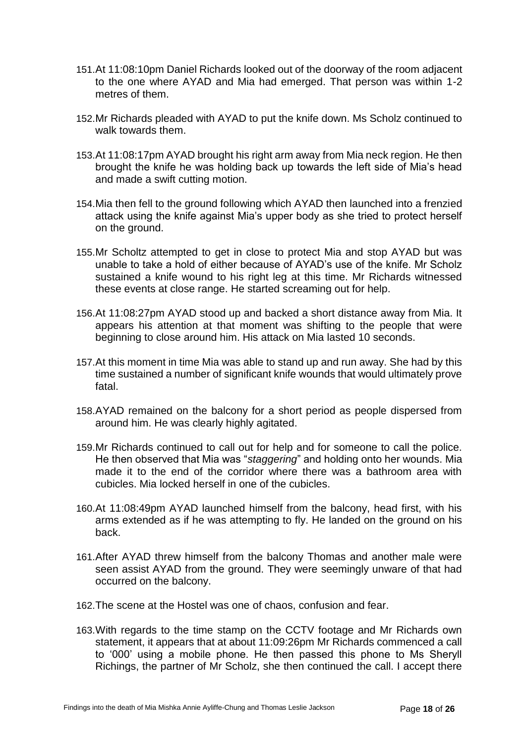- 151.At 11:08:10pm Daniel Richards looked out of the doorway of the room adjacent to the one where AYAD and Mia had emerged. That person was within 1-2 metres of them.
- 152.Mr Richards pleaded with AYAD to put the knife down. Ms Scholz continued to walk towards them.
- 153.At 11:08:17pm AYAD brought his right arm away from Mia neck region. He then brought the knife he was holding back up towards the left side of Mia's head and made a swift cutting motion.
- 154.Mia then fell to the ground following which AYAD then launched into a frenzied attack using the knife against Mia's upper body as she tried to protect herself on the ground.
- 155.Mr Scholtz attempted to get in close to protect Mia and stop AYAD but was unable to take a hold of either because of AYAD's use of the knife. Mr Scholz sustained a knife wound to his right leg at this time. Mr Richards witnessed these events at close range. He started screaming out for help.
- 156.At 11:08:27pm AYAD stood up and backed a short distance away from Mia. It appears his attention at that moment was shifting to the people that were beginning to close around him. His attack on Mia lasted 10 seconds.
- 157.At this moment in time Mia was able to stand up and run away. She had by this time sustained a number of significant knife wounds that would ultimately prove fatal.
- 158.AYAD remained on the balcony for a short period as people dispersed from around him. He was clearly highly agitated.
- 159.Mr Richards continued to call out for help and for someone to call the police. He then observed that Mia was "*staggering*" and holding onto her wounds. Mia made it to the end of the corridor where there was a bathroom area with cubicles. Mia locked herself in one of the cubicles.
- 160.At 11:08:49pm AYAD launched himself from the balcony, head first, with his arms extended as if he was attempting to fly. He landed on the ground on his back.
- 161.After AYAD threw himself from the balcony Thomas and another male were seen assist AYAD from the ground. They were seemingly unware of that had occurred on the balcony.
- 162.The scene at the Hostel was one of chaos, confusion and fear.
- 163.With regards to the time stamp on the CCTV footage and Mr Richards own statement, it appears that at about 11:09:26pm Mr Richards commenced a call to '000' using a mobile phone. He then passed this phone to Ms Sheryll Richings, the partner of Mr Scholz, she then continued the call. I accept there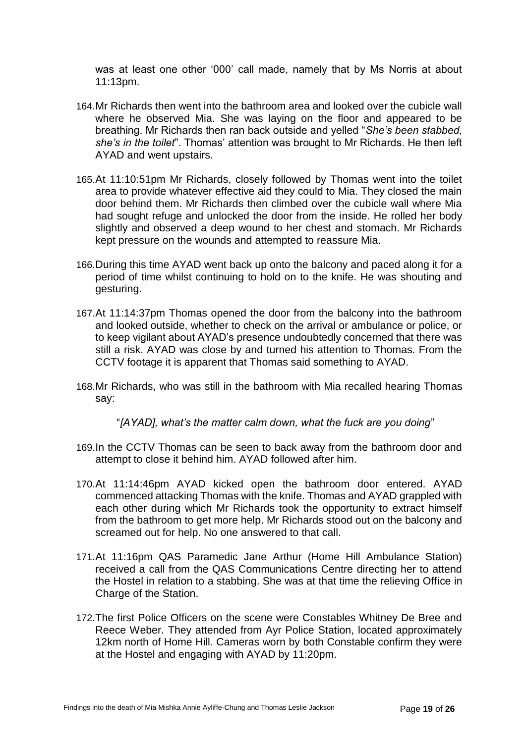was at least one other '000' call made, namely that by Ms Norris at about 11:13pm.

- 164.Mr Richards then went into the bathroom area and looked over the cubicle wall where he observed Mia. She was laying on the floor and appeared to be breathing. Mr Richards then ran back outside and yelled "*She's been stabbed, she's in the toilet*". Thomas' attention was brought to Mr Richards. He then left AYAD and went upstairs.
- 165.At 11:10:51pm Mr Richards, closely followed by Thomas went into the toilet area to provide whatever effective aid they could to Mia. They closed the main door behind them. Mr Richards then climbed over the cubicle wall where Mia had sought refuge and unlocked the door from the inside. He rolled her body slightly and observed a deep wound to her chest and stomach. Mr Richards kept pressure on the wounds and attempted to reassure Mia.
- 166.During this time AYAD went back up onto the balcony and paced along it for a period of time whilst continuing to hold on to the knife. He was shouting and gesturing.
- 167.At 11:14:37pm Thomas opened the door from the balcony into the bathroom and looked outside, whether to check on the arrival or ambulance or police, or to keep vigilant about AYAD's presence undoubtedly concerned that there was still a risk. AYAD was close by and turned his attention to Thomas. From the CCTV footage it is apparent that Thomas said something to AYAD.
- 168.Mr Richards, who was still in the bathroom with Mia recalled hearing Thomas say:

"*[AYAD], what's the matter calm down, what the fuck are you doing*"

- 169.In the CCTV Thomas can be seen to back away from the bathroom door and attempt to close it behind him. AYAD followed after him.
- 170.At 11:14:46pm AYAD kicked open the bathroom door entered. AYAD commenced attacking Thomas with the knife. Thomas and AYAD grappled with each other during which Mr Richards took the opportunity to extract himself from the bathroom to get more help. Mr Richards stood out on the balcony and screamed out for help. No one answered to that call.
- 171.At 11:16pm QAS Paramedic Jane Arthur (Home Hill Ambulance Station) received a call from the QAS Communications Centre directing her to attend the Hostel in relation to a stabbing. She was at that time the relieving Office in Charge of the Station.
- 172.The first Police Officers on the scene were Constables Whitney De Bree and Reece Weber. They attended from Ayr Police Station, located approximately 12km north of Home Hill. Cameras worn by both Constable confirm they were at the Hostel and engaging with AYAD by 11:20pm.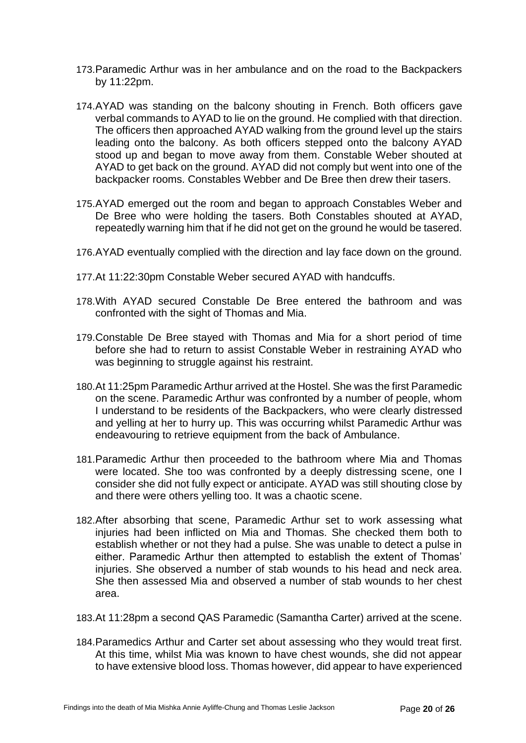- 173.Paramedic Arthur was in her ambulance and on the road to the Backpackers by 11:22pm.
- 174.AYAD was standing on the balcony shouting in French. Both officers gave verbal commands to AYAD to lie on the ground. He complied with that direction. The officers then approached AYAD walking from the ground level up the stairs leading onto the balcony. As both officers stepped onto the balcony AYAD stood up and began to move away from them. Constable Weber shouted at AYAD to get back on the ground. AYAD did not comply but went into one of the backpacker rooms. Constables Webber and De Bree then drew their tasers.
- 175.AYAD emerged out the room and began to approach Constables Weber and De Bree who were holding the tasers. Both Constables shouted at AYAD, repeatedly warning him that if he did not get on the ground he would be tasered.
- 176.AYAD eventually complied with the direction and lay face down on the ground.
- 177.At 11:22:30pm Constable Weber secured AYAD with handcuffs.
- 178.With AYAD secured Constable De Bree entered the bathroom and was confronted with the sight of Thomas and Mia.
- 179.Constable De Bree stayed with Thomas and Mia for a short period of time before she had to return to assist Constable Weber in restraining AYAD who was beginning to struggle against his restraint.
- 180.At 11:25pm Paramedic Arthur arrived at the Hostel. She was the first Paramedic on the scene. Paramedic Arthur was confronted by a number of people, whom I understand to be residents of the Backpackers, who were clearly distressed and yelling at her to hurry up. This was occurring whilst Paramedic Arthur was endeavouring to retrieve equipment from the back of Ambulance.
- 181.Paramedic Arthur then proceeded to the bathroom where Mia and Thomas were located. She too was confronted by a deeply distressing scene, one I consider she did not fully expect or anticipate. AYAD was still shouting close by and there were others yelling too. It was a chaotic scene.
- 182.After absorbing that scene, Paramedic Arthur set to work assessing what injuries had been inflicted on Mia and Thomas. She checked them both to establish whether or not they had a pulse. She was unable to detect a pulse in either. Paramedic Arthur then attempted to establish the extent of Thomas' injuries. She observed a number of stab wounds to his head and neck area. She then assessed Mia and observed a number of stab wounds to her chest area.
- 183.At 11:28pm a second QAS Paramedic (Samantha Carter) arrived at the scene.
- 184.Paramedics Arthur and Carter set about assessing who they would treat first. At this time, whilst Mia was known to have chest wounds, she did not appear to have extensive blood loss. Thomas however, did appear to have experienced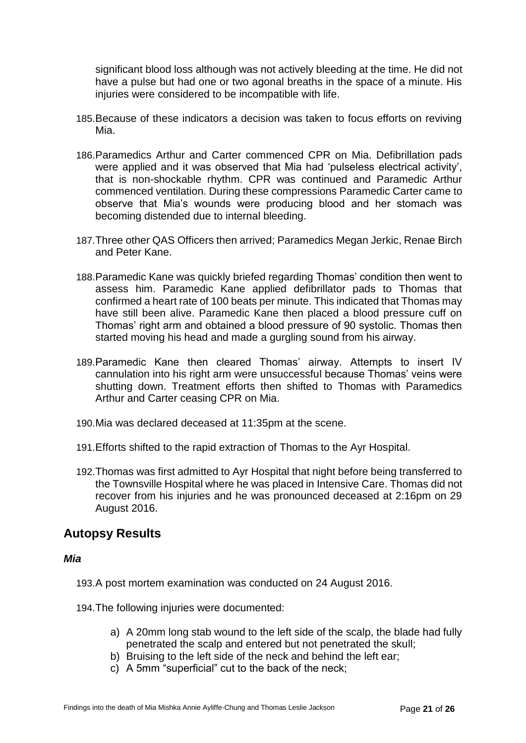significant blood loss although was not actively bleeding at the time. He did not have a pulse but had one or two agonal breaths in the space of a minute. His injuries were considered to be incompatible with life.

- 185.Because of these indicators a decision was taken to focus efforts on reviving Mia.
- 186.Paramedics Arthur and Carter commenced CPR on Mia. Defibrillation pads were applied and it was observed that Mia had 'pulseless electrical activity', that is non-shockable rhythm. CPR was continued and Paramedic Arthur commenced ventilation. During these compressions Paramedic Carter came to observe that Mia's wounds were producing blood and her stomach was becoming distended due to internal bleeding.
- 187.Three other QAS Officers then arrived; Paramedics Megan Jerkic, Renae Birch and Peter Kane.
- 188.Paramedic Kane was quickly briefed regarding Thomas' condition then went to assess him. Paramedic Kane applied defibrillator pads to Thomas that confirmed a heart rate of 100 beats per minute. This indicated that Thomas may have still been alive. Paramedic Kane then placed a blood pressure cuff on Thomas' right arm and obtained a blood pressure of 90 systolic. Thomas then started moving his head and made a gurgling sound from his airway.
- 189.Paramedic Kane then cleared Thomas' airway. Attempts to insert IV cannulation into his right arm were unsuccessful because Thomas' veins were shutting down. Treatment efforts then shifted to Thomas with Paramedics Arthur and Carter ceasing CPR on Mia.
- 190.Mia was declared deceased at 11:35pm at the scene.
- 191.Efforts shifted to the rapid extraction of Thomas to the Ayr Hospital.
- 192.Thomas was first admitted to Ayr Hospital that night before being transferred to the Townsville Hospital where he was placed in Intensive Care. Thomas did not recover from his injuries and he was pronounced deceased at 2:16pm on 29 August 2016.

# <span id="page-22-0"></span>**Autopsy Results**

#### *Mia*

193.A post mortem examination was conducted on 24 August 2016.

194.The following injuries were documented:

- a) A 20mm long stab wound to the left side of the scalp, the blade had fully penetrated the scalp and entered but not penetrated the skull;
- b) Bruising to the left side of the neck and behind the left ear;
- c) A 5mm "superficial" cut to the back of the neck;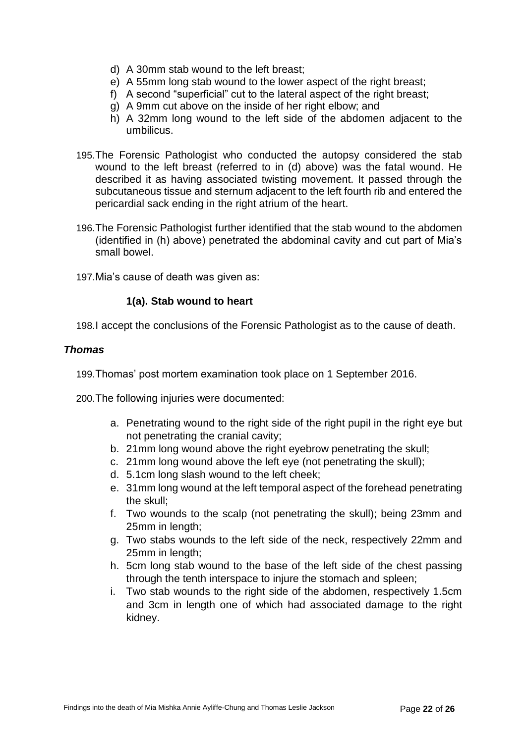- d) A 30mm stab wound to the left breast;
- e) A 55mm long stab wound to the lower aspect of the right breast;
- f) A second "superficial" cut to the lateral aspect of the right breast;
- g) A 9mm cut above on the inside of her right elbow; and
- h) A 32mm long wound to the left side of the abdomen adjacent to the umbilicus.
- 195.The Forensic Pathologist who conducted the autopsy considered the stab wound to the left breast (referred to in (d) above) was the fatal wound. He described it as having associated twisting movement. It passed through the subcutaneous tissue and sternum adjacent to the left fourth rib and entered the pericardial sack ending in the right atrium of the heart.
- 196.The Forensic Pathologist further identified that the stab wound to the abdomen (identified in (h) above) penetrated the abdominal cavity and cut part of Mia's small bowel.
- 197.Mia's cause of death was given as:

#### **1(a). Stab wound to heart**

198.I accept the conclusions of the Forensic Pathologist as to the cause of death.

#### *Thomas*

199.Thomas' post mortem examination took place on 1 September 2016.

200.The following injuries were documented:

- a. Penetrating wound to the right side of the right pupil in the right eye but not penetrating the cranial cavity;
- b. 21mm long wound above the right eyebrow penetrating the skull;
- c. 21mm long wound above the left eye (not penetrating the skull);
- d. 5.1cm long slash wound to the left cheek;
- e. 31mm long wound at the left temporal aspect of the forehead penetrating the skull;
- f. Two wounds to the scalp (not penetrating the skull); being 23mm and 25mm in length;
- g. Two stabs wounds to the left side of the neck, respectively 22mm and 25mm in length;
- h. 5cm long stab wound to the base of the left side of the chest passing through the tenth interspace to injure the stomach and spleen;
- i. Two stab wounds to the right side of the abdomen, respectively 1.5cm and 3cm in length one of which had associated damage to the right kidney.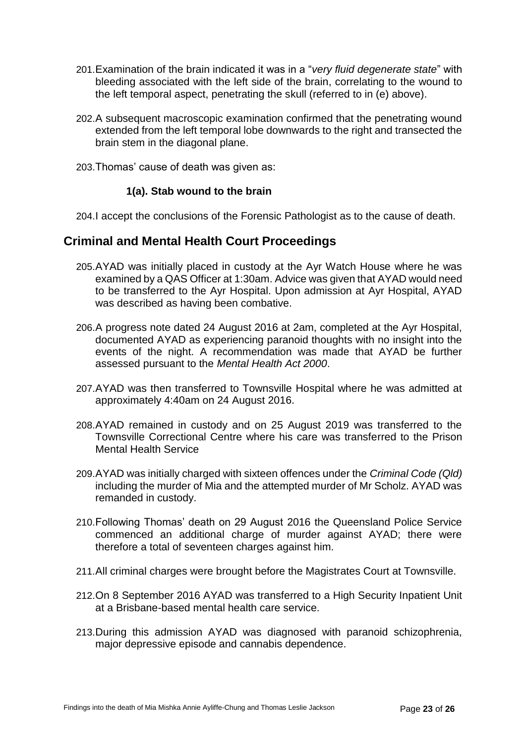- 201.Examination of the brain indicated it was in a "*very fluid degenerate state*" with bleeding associated with the left side of the brain, correlating to the wound to the left temporal aspect, penetrating the skull (referred to in (e) above).
- 202.A subsequent macroscopic examination confirmed that the penetrating wound extended from the left temporal lobe downwards to the right and transected the brain stem in the diagonal plane.
- 203.Thomas' cause of death was given as:

#### **1(a). Stab wound to the brain**

204.I accept the conclusions of the Forensic Pathologist as to the cause of death.

### <span id="page-24-0"></span>**Criminal and Mental Health Court Proceedings**

- 205.AYAD was initially placed in custody at the Ayr Watch House where he was examined by a QAS Officer at 1:30am. Advice was given that AYAD would need to be transferred to the Ayr Hospital. Upon admission at Ayr Hospital, AYAD was described as having been combative.
- 206.A progress note dated 24 August 2016 at 2am, completed at the Ayr Hospital, documented AYAD as experiencing paranoid thoughts with no insight into the events of the night. A recommendation was made that AYAD be further assessed pursuant to the *Mental Health Act 2000*.
- 207.AYAD was then transferred to Townsville Hospital where he was admitted at approximately 4:40am on 24 August 2016.
- 208.AYAD remained in custody and on 25 August 2019 was transferred to the Townsville Correctional Centre where his care was transferred to the Prison Mental Health Service
- 209.AYAD was initially charged with sixteen offences under the *Criminal Code (Qld)* including the murder of Mia and the attempted murder of Mr Scholz. AYAD was remanded in custody.
- 210.Following Thomas' death on 29 August 2016 the Queensland Police Service commenced an additional charge of murder against AYAD; there were therefore a total of seventeen charges against him.
- 211.All criminal charges were brought before the Magistrates Court at Townsville.
- 212.On 8 September 2016 AYAD was transferred to a High Security Inpatient Unit at a Brisbane-based mental health care service.
- 213.During this admission AYAD was diagnosed with paranoid schizophrenia, major depressive episode and cannabis dependence.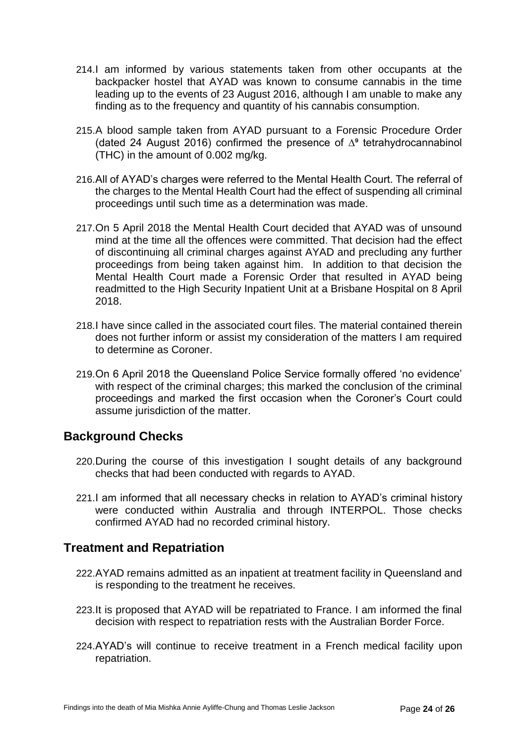- 214.I am informed by various statements taken from other occupants at the backpacker hostel that AYAD was known to consume cannabis in the time leading up to the events of 23 August 2016, although I am unable to make any finding as to the frequency and quantity of his cannabis consumption.
- 215.A blood sample taken from AYAD pursuant to a Forensic Procedure Order (dated 24 August 2016) confirmed the presence of ∆⁹ tetrahydrocannabinol (THC) in the amount of 0.002 mg/kg.
- 216.All of AYAD's charges were referred to the Mental Health Court. The referral of the charges to the Mental Health Court had the effect of suspending all criminal proceedings until such time as a determination was made.
- 217.On 5 April 2018 the Mental Health Court decided that AYAD was of unsound mind at the time all the offences were committed. That decision had the effect of discontinuing all criminal charges against AYAD and precluding any further proceedings from being taken against him. In addition to that decision the Mental Health Court made a Forensic Order that resulted in AYAD being readmitted to the High Security Inpatient Unit at a Brisbane Hospital on 8 April 2018.
- 218.I have since called in the associated court files. The material contained therein does not further inform or assist my consideration of the matters I am required to determine as Coroner.
- 219.On 6 April 2018 the Queensland Police Service formally offered 'no evidence' with respect of the criminal charges; this marked the conclusion of the criminal proceedings and marked the first occasion when the Coroner's Court could assume jurisdiction of the matter.

#### <span id="page-25-0"></span>**Background Checks**

- 220.During the course of this investigation I sought details of any background checks that had been conducted with regards to AYAD.
- 221.I am informed that all necessary checks in relation to AYAD's criminal history were conducted within Australia and through INTERPOL. Those checks confirmed AYAD had no recorded criminal history.

# <span id="page-25-1"></span>**Treatment and Repatriation**

- 222.AYAD remains admitted as an inpatient at treatment facility in Queensland and is responding to the treatment he receives.
- 223.It is proposed that AYAD will be repatriated to France. I am informed the final decision with respect to repatriation rests with the Australian Border Force.
- 224.AYAD's will continue to receive treatment in a French medical facility upon repatriation.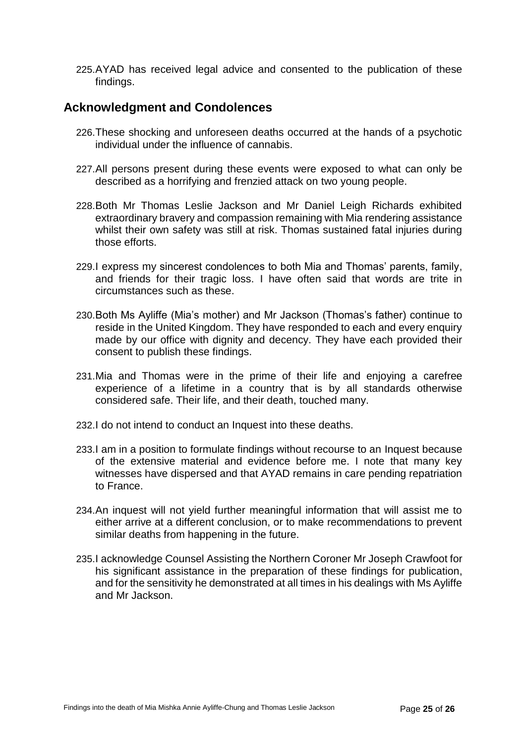225.AYAD has received legal advice and consented to the publication of these findings.

#### <span id="page-26-0"></span>**Acknowledgment and Condolences**

- 226.These shocking and unforeseen deaths occurred at the hands of a psychotic individual under the influence of cannabis.
- 227.All persons present during these events were exposed to what can only be described as a horrifying and frenzied attack on two young people.
- 228.Both Mr Thomas Leslie Jackson and Mr Daniel Leigh Richards exhibited extraordinary bravery and compassion remaining with Mia rendering assistance whilst their own safety was still at risk. Thomas sustained fatal injuries during those efforts.
- 229.I express my sincerest condolences to both Mia and Thomas' parents, family, and friends for their tragic loss. I have often said that words are trite in circumstances such as these.
- 230.Both Ms Ayliffe (Mia's mother) and Mr Jackson (Thomas's father) continue to reside in the United Kingdom. They have responded to each and every enquiry made by our office with dignity and decency. They have each provided their consent to publish these findings.
- 231.Mia and Thomas were in the prime of their life and enjoying a carefree experience of a lifetime in a country that is by all standards otherwise considered safe. Their life, and their death, touched many.
- 232.I do not intend to conduct an Inquest into these deaths.
- 233.I am in a position to formulate findings without recourse to an Inquest because of the extensive material and evidence before me. I note that many key witnesses have dispersed and that AYAD remains in care pending repatriation to France.
- 234.An inquest will not yield further meaningful information that will assist me to either arrive at a different conclusion, or to make recommendations to prevent similar deaths from happening in the future.
- 235.I acknowledge Counsel Assisting the Northern Coroner Mr Joseph Crawfoot for his significant assistance in the preparation of these findings for publication, and for the sensitivity he demonstrated at all times in his dealings with Ms Ayliffe and Mr Jackson.